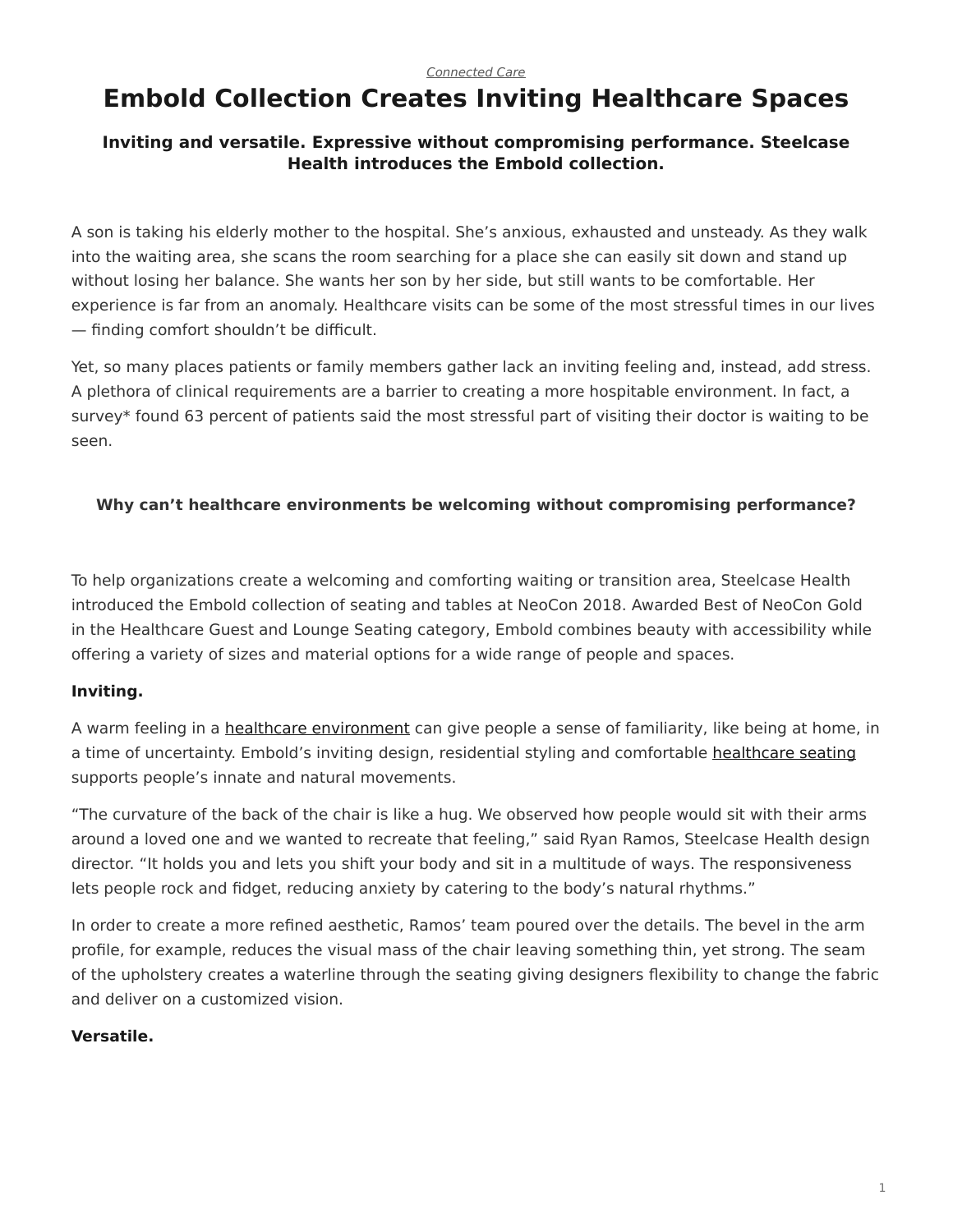#### *[Connected Care](https://www.steelcase.com/research/topics/connected-care/)*

# <span id="page-0-0"></span>**Embold Collection Creates Inviting Healthcare Spaces**

### **Inviting and versatile. Expressive without compromising performance. Steelcase Health introduces the Embold collection.**

A son is taking his elderly mother to the hospital. She's anxious, exhausted and unsteady. As they walk into the waiting area, she scans the room searching for a place she can easily sit down and stand up without losing her balance. She wants her son by her side, but still wants to be comfortable. Her experience is far from an anomaly. Healthcare visits can be some of the most stressful times in our lives — finding comfort shouldn't be difficult.

Yet, so many places patients or family members gather lack an inviting feeling and, instead, add stress. A plethora of clinical requirements are a barrier to creating a more hospitable environment. In fact, a survey\* found 63 percent of patients said the most stressful part of visiting their doctor is waiting to be seen.

#### **Why can't healthcare environments be welcoming without compromising performance?**

To help organizations create a welcoming and comforting waiting or transition area, Steelcase Health introduced the Embold collection of seating and tables at NeoCon 2018. Awarded Best of NeoCon Gold in the Healthcare Guest and Lounge Seating category, Embold combines beauty with accessibility while offering a variety of sizes and material options for a wide range of people and spaces.

#### **Inviting.**

A warm feeling in a [healthcare environment](https://www.steelcase.com/discover/information/health/supporting-family-members-patient-rooms/#meeting-family-needs-in-the-patient-room_support-family-centered-care) can give people a sense of familiarity, like being at home, in a time of uncertainty. Embold's inviting design, residential styling and comfortable [healthcare seating](https://www.steelcase.com/products/patient-chairs/) supports people's innate and natural movements.

"The curvature of the back of the chair is like a hug. We observed how people would sit with their arms around a loved one and we wanted to recreate that feeling," said Ryan Ramos, Steelcase Health design director. "It holds you and lets you shift your body and sit in a multitude of ways. The responsiveness lets people rock and fidget, reducing anxiety by catering to the body's natural rhythms."

In order to create a more refined aesthetic, Ramos' team poured over the details. The bevel in the arm profile, for example, reduces the visual mass of the chair leaving something thin, yet strong. The seam of the upholstery creates a waterline through the seating giving designers flexibility to change the fabric and deliver on a customized vision.

#### **Versatile.**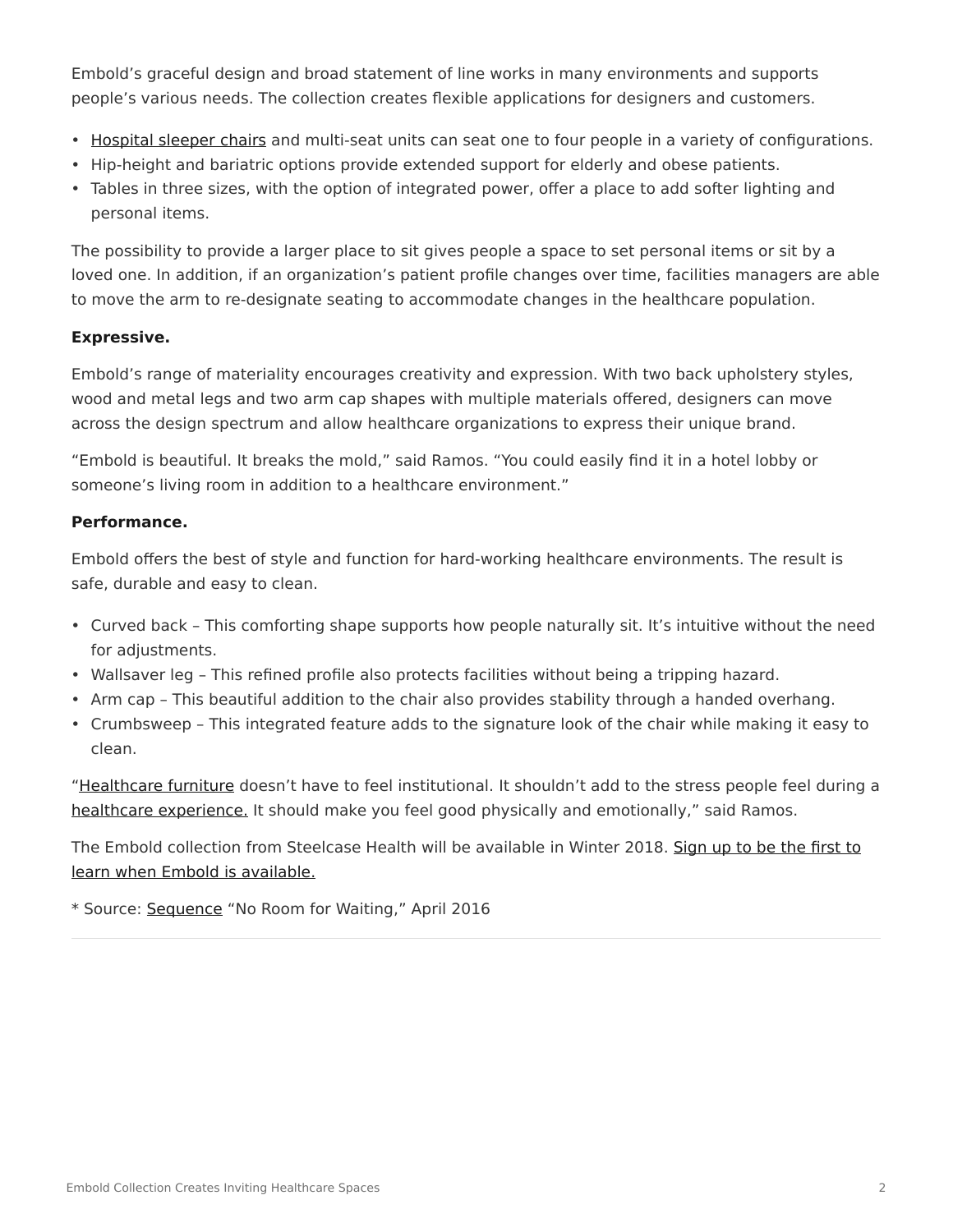Embold's graceful design and broad statement of line works in many environments and supports people's various needs. The collection creates flexible applications for designers and customers.

- [Hospital sleeper chairs](https://www.steelcase.com/products/patient-chairs/) and multi-seat units can seat one to four people in a variety of configurations.
- Hip-height and bariatric options provide extended support for elderly and obese patients.
- Tables in three sizes, with the option of integrated power, offer a place to add softer lighting and personal items.

The possibility to provide a larger place to sit gives people a space to set personal items or sit by a loved one. In addition, if an organization's patient profile changes over time, facilities managers are able to move the arm to re-designate seating to accommodate changes in the healthcare population.

#### **Expressive.**

Embold's range of materiality encourages creativity and expression. With two back upholstery styles, wood and metal legs and two arm cap shapes with multiple materials offered, designers can move across the design spectrum and allow healthcare organizations to express their unique brand.

"Embold is beautiful. It breaks the mold," said Ramos. "You could easily find it in a hotel lobby or someone's living room in addition to a healthcare environment."

#### **Performance.**

Embold offers the best of style and function for hard-working healthcare environments. The result is safe, durable and easy to clean.

- Curved back This comforting shape supports how people naturally sit. It's intuitive without the need for adjustments.
- Wallsaver leg This refined profile also protects facilities without being a tripping hazard.
- Arm cap This beautiful addition to the chair also provides stability through a handed overhang.
- Crumbsweep This integrated feature adds to the signature look of the chair while making it easy to clean.

"[Healthcare furniture](https://www.steelcase.com/discover/information/health/) doesn't have to feel institutional. It shouldn't add to the stress people feel during a [healthcare experience.](https://www.steelcase.com/spaces-inspiration/health-spaces-transition-waiting/) It should make you feel good physically and emotionally," said Ramos.

The Embold collection from Steelcase Health will be available in Winter 2018. [Sign up to be the first to](https://info.steelcase.com/embold) [learn when Embold is available.](https://info.steelcase.com/embold)

\* Source: [Sequence](https://www.businesswire.com/news/home/20160405005493/en/New-Survey-Sequence-Uncovers-Functional-Breakdowns-Technology) "No Room for Waiting," April 2016